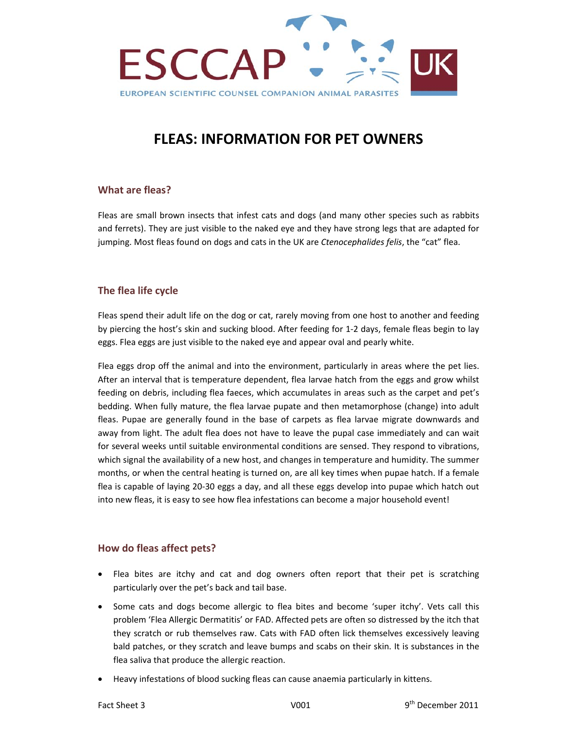

# **FLEAS: INFORMATION FOR PET OWNERS**

## **What are fleas?**

Fleas are small brown insects that infest cats and dogs (and many other species such as rabbits and ferrets). They are just visible to the naked eye and they have strong legs that are adapted for jumping. Most fleas found on dogs and cats in the UK are *Ctenocephalides felis*, the "cat" flea.

## **The flea life cycle**

Fleas spend their adult life on the dog or cat, rarely moving from one host to another and feeding by piercing the host's skin and sucking blood. After feeding for 1‐2 days, female fleas begin to lay eggs. Flea eggs are just visible to the naked eye and appear oval and pearly white.

Flea eggs drop off the animal and into the environment, particularly in areas where the pet lies. After an interval that is temperature dependent, flea larvae hatch from the eggs and grow whilst feeding on debris, including flea faeces, which accumulates in areas such as the carpet and pet's bedding. When fully mature, the flea larvae pupate and then metamorphose (change) into adult fleas. Pupae are generally found in the base of carpets as flea larvae migrate downwards and away from light. The adult flea does not have to leave the pupal case immediately and can wait for several weeks until suitable environmental conditions are sensed. They respond to vibrations, which signal the availability of a new host, and changes in temperature and humidity. The summer months, or when the central heating is turned on, are all key times when pupae hatch. If a female flea is capable of laying 20-30 eggs a day, and all these eggs develop into pupae which hatch out into new fleas, it is easy to see how flea infestations can become a major household event!

#### **How do fleas affect pets?**

- Flea bites are itchy and cat and dog owners often report that their pet is scratching particularly over the pet's back and tail base.
- Some cats and dogs become allergic to flea bites and become 'super itchy'. Vets call this problem 'Flea Allergic Dermatitis' or FAD. Affected pets are often so distressed by the itch that they scratch or rub themselves raw. Cats with FAD often lick themselves excessively leaving bald patches, or they scratch and leave bumps and scabs on their skin. It is substances in the flea saliva that produce the allergic reaction.
- Heavy infestations of blood sucking fleas can cause anaemia particularly in kittens.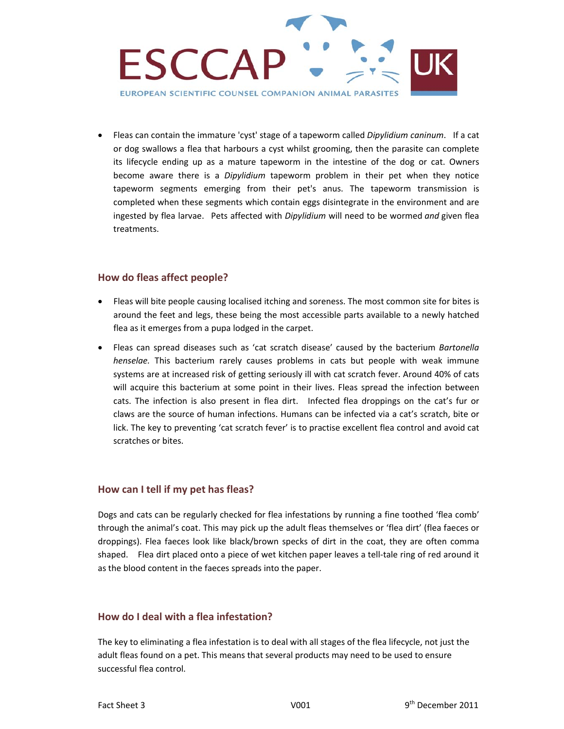

 Fleas can contain the immature 'cyst' stage of a tapeworm called *Dipylidium caninum*. If a cat or dog swallows a flea that harbours a cyst whilst grooming, then the parasite can complete its lifecycle ending up as a mature tapeworm in the intestine of the dog or cat. Owners become aware there is a *Dipylidium* tapeworm problem in their pet when they notice tapeworm segments emerging from their pet's anus. The tapeworm transmission is completed when these segments which contain eggs disintegrate in the environment and are ingested by flea larvae. Pets affected with *Dipylidium* will need to be wormed *and* given flea treatments.

## **How do fleas affect people?**

- Fleas will bite people causing localised itching and soreness. The most common site for bites is around the feet and legs, these being the most accessible parts available to a newly hatched flea as it emerges from a pupa lodged in the carpet.
- Fleas can spread diseases such as 'cat scratch disease' caused by the bacterium *Bartonella henselae.* This bacterium rarely causes problems in cats but people with weak immune systems are at increased risk of getting seriously ill with cat scratch fever. Around 40% of cats will acquire this bacterium at some point in their lives. Fleas spread the infection between cats. The infection is also present in flea dirt. Infected flea droppings on the cat's fur or claws are the source of human infections. Humans can be infected via a cat's scratch, bite or lick. The key to preventing 'cat scratch fever' is to practise excellent flea control and avoid cat scratches or bites.

# **How can I tell if my pet has fleas?**

Dogs and cats can be regularly checked for flea infestations by running a fine toothed 'flea comb' through the animal's coat. This may pick up the adult fleas themselves or 'flea dirt' (flea faeces or droppings). Flea faeces look like black/brown specks of dirt in the coat, they are often comma shaped. Flea dirt placed onto a piece of wet kitchen paper leaves a tell-tale ring of red around it as the blood content in the faeces spreads into the paper.

# **How do I deal with a flea infestation?**

The key to eliminating a flea infestation is to deal with all stages of the flea lifecycle, not just the adult fleas found on a pet. This means that several products may need to be used to ensure successful flea control.